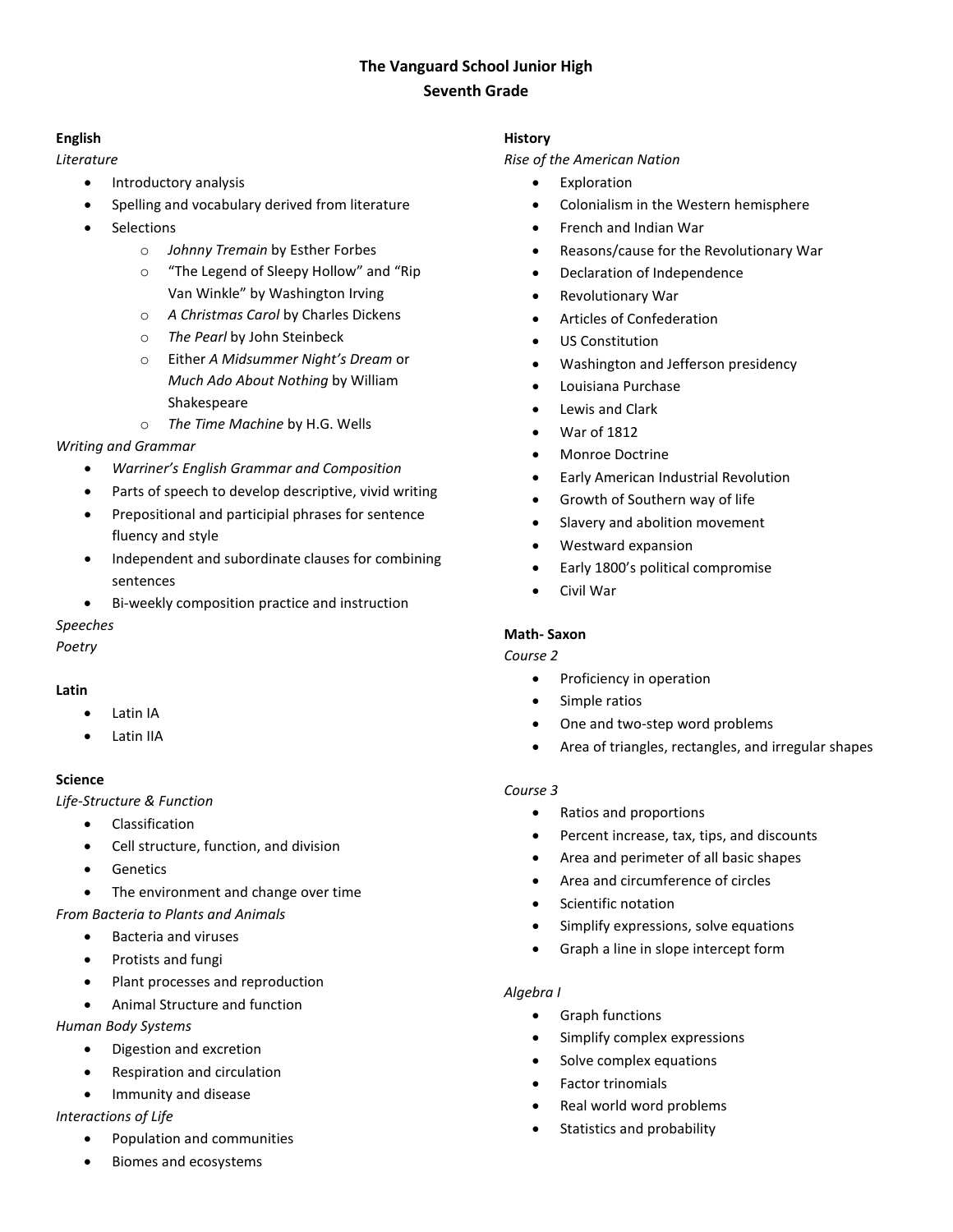# **The Vanguard School Junior High Seventh Grade**

## **English**

*Literature*

- Introductory analysis
- Spelling and vocabulary derived from literature
- **Selections** 
	- o *Johnny Tremain* by Esther Forbes
	- o "The Legend of Sleepy Hollow" and "Rip Van Winkle" by Washington Irving
	- o *A Christmas Carol* by Charles Dickens
	- o *The Pearl* by John Steinbeck
	- o Either *A Midsummer Night's Dream* or *Much Ado About Nothing* by William Shakespeare
	- o *The Time Machine* by H.G. Wells

### *Writing and Grammar*

- *Warriner's English Grammar and Composition*
- Parts of speech to develop descriptive, vivid writing
- Prepositional and participial phrases for sentence fluency and style
- Independent and subordinate clauses for combining sentences
- Bi-weekly composition practice and instruction

*Speeches*

*Poetry*

### **Latin**

- Latin IA
- Latin IIA

### **Science**

*Life-Structure & Function*

- Classification
- Cell structure, function, and division
- **Genetics**
- The environment and change over time

### *From Bacteria to Plants and Animals*

- Bacteria and viruses
- Protists and fungi
- Plant processes and reproduction
- Animal Structure and function

*Human Body Systems*

- Digestion and excretion
- Respiration and circulation
- Immunity and disease

### *Interactions of Life*

- Population and communities
- Biomes and ecosystems

### **History**

*Rise of the American Nation*

- **Exploration**
- Colonialism in the Western hemisphere
- French and Indian War
- Reasons/cause for the Revolutionary War
- Declaration of Independence
- Revolutionary War
- Articles of Confederation
- US Constitution
- Washington and Jefferson presidency
- Louisiana Purchase
- Lewis and Clark
- War of 1812
- Monroe Doctrine
- Early American Industrial Revolution
- Growth of Southern way of life
- Slavery and abolition movement
- Westward expansion
- Early 1800's political compromise
- Civil War

### **Math- Saxon**

### *Course 2*

- Proficiency in operation
- Simple ratios
- One and two-step word problems
- Area of triangles, rectangles, and irregular shapes

### *Course 3*

- Ratios and proportions
- Percent increase, tax, tips, and discounts
- Area and perimeter of all basic shapes
- Area and circumference of circles
- Scientific notation
- Simplify expressions, solve equations
- Graph a line in slope intercept form

### *Algebra I*

- Graph functions
- Simplify complex expressions
- Solve complex equations
- Factor trinomials
- Real world word problems
- Statistics and probability